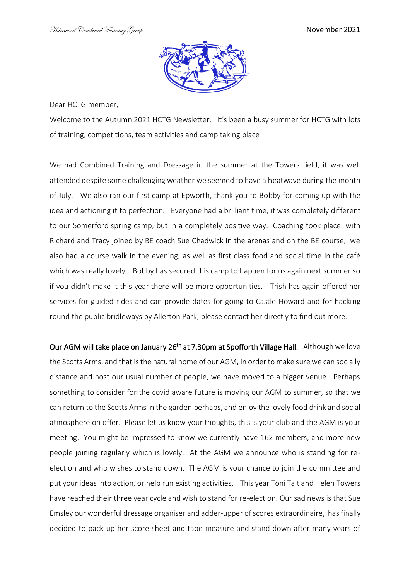

Dear HCTG member,

Welcome to the Autumn 2021 HCTG Newsletter. It's been a busy summer for HCTG with lots of training, competitions, team activities and camp taking place.

We had Combined Training and Dressage in the summer at the Towers field, it was well attended despite some challenging weather we seemed to have a heatwave during the month of July. We also ran our first camp at Epworth, thank you to Bobby for coming up with the idea and actioning it to perfection. Everyone had a brilliant time, it was completely different to our Somerford spring camp, but in a completely positive way. Coaching took place with Richard and Tracy joined by BE coach Sue Chadwick in the arenas and on the BE course, we also had a course walk in the evening, as well as first class food and social time in the café which was really lovely. Bobby has secured this camp to happen for us again next summer so if you didn't make it this year there will be more opportunities. Trish has again offered her services for guided rides and can provide dates for going to Castle Howard and for hacking round the public bridleways by Allerton Park, please contact her directly to find out more.

Our AGM will take place on January 26<sup>th</sup> at 7.30pm at Spofforth Village Hall. Although we love the Scotts Arms, and that is the natural home of our AGM, in order to make sure we can socially distance and host our usual number of people, we have moved to a bigger venue. Perhaps something to consider for the covid aware future is moving our AGM to summer, so that we can return to the Scotts Arms in the garden perhaps, and enjoy the lovely food drink and social atmosphere on offer. Please let us know your thoughts, this is your club and the AGM is your meeting. You might be impressed to know we currently have 162 members, and more new people joining regularly which is lovely. At the AGM we announce who is standing for reelection and who wishes to stand down. The AGM is your chance to join the committee and put your ideas into action, or help run existing activities. This year Toni Tait and Helen Towers have reached their three year cycle and wish to stand for re-election. Our sad news is that Sue Emsley our wonderful dressage organiser and adder-upper of scores extraordinaire, has finally decided to pack up her score sheet and tape measure and stand down after many years of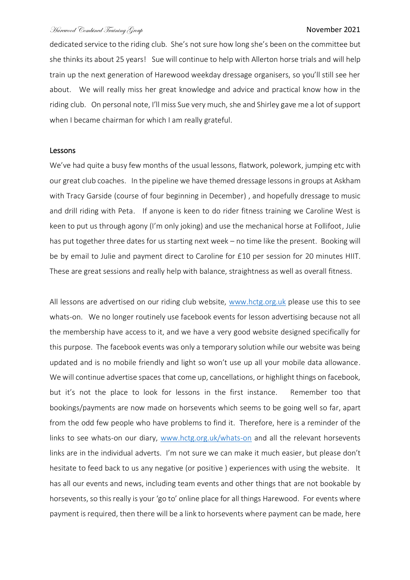dedicated service to the riding club. She's not sure how long she's been on the committee but she thinks its about 25 years! Sue will continue to help with Allerton horse trials and will help train up the next generation of Harewood weekday dressage organisers, so you'll still see her about. We will really miss her great knowledge and advice and practical know how in the riding club. On personal note, I'll miss Sue very much, she and Shirley gave me a lot of support when I became chairman for which I am really grateful.

## Lessons

We've had quite a busy few months of the usual lessons, flatwork, polework, jumping etc with our great club coaches. In the pipeline we have themed dressage lessons in groups at Askham with Tracy Garside (course of four beginning in December) , and hopefully dressage to music and drill riding with Peta. If anyone is keen to do rider fitness training we Caroline West is keen to put us through agony (I'm only joking) and use the mechanical horse at Follifoot, Julie has put together three dates for us starting next week – no time like the present. Booking will be by email to Julie and payment direct to Caroline for £10 per session for 20 minutes HIIT. These are great sessions and really help with balance, straightness as well as overall fitness.

All lessons are advertised on our riding club website, [www.hctg.org.uk](http://www.hctg.org.uk/) please use this to see whats-on. We no longer routinely use facebook events for lesson advertising because not all the membership have access to it, and we have a very good website designed specifically for this purpose. The facebook events was only a temporary solution while our website was being updated and is no mobile friendly and light so won't use up all your mobile data allowance. We will continue advertise spaces that come up, cancellations, or highlight things on facebook, but it's not the place to look for lessons in the first instance. Remember too that bookings/payments are now made on horsevents which seems to be going well so far, apart from the odd few people who have problems to find it. Therefore, here is a reminder of the links to see whats-on our diary, [www.hctg.org.uk/whats-on](http://www.hctg.org.uk/whats-on) and all the relevant horsevents links are in the individual adverts. I'm not sure we can make it much easier, but please don't hesitate to feed back to us any negative (or positive ) experiences with using the website. It has all our events and news, including team events and other things that are not bookable by horsevents, so this really is your 'go to' online place for all things Harewood. For events where payment is required, then there will be a link to horsevents where payment can be made, here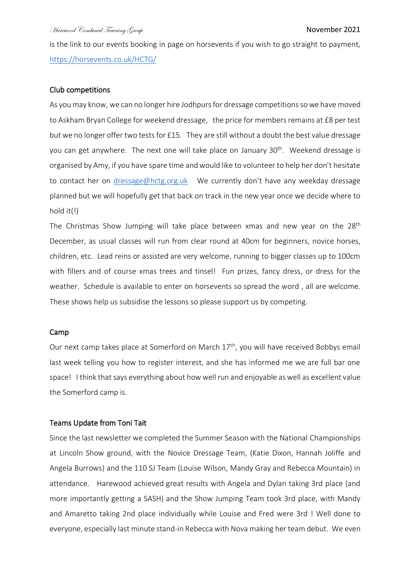is the link to our events booking in page on horsevents if you wish to go straight to payment, <https://horsevents.co.uk/HCTG/>

# Club competitions

As you may know,we can no longer hire Jodhpurs for dressage competitions so we have moved to Askham Bryan College for weekend dressage, the price for members remains at £8 per test but we no longer offer two tests for £15. They are still without a doubt the best value dressage you can get anywhere. The next one will take place on January 30<sup>th</sup>. Weekend dressage is organised by Amy, if you have spare time and would like to volunteer to help her don't hesitate to contact her on [dressage@hctg.org.uk](mailto:dressage@hctg.org.uk) We currently don't have any weekday dressage planned but we will hopefully get that back on track in the new year once we decide where to hold it(!)

The Christmas Show Jumping will take place between xmas and new year on the 28<sup>th</sup> December, as usual classes will run from clear round at 40cm for beginners, novice horses, children, etc. Lead reins or assisted are very welcome, running to bigger classes up to 100cm with fillers and of course xmas trees and tinsel! Fun prizes, fancy dress, or dress for the weather. Schedule is available to enter on horsevents so spread the word , all are welcome. These shows help us subsidise the lessons so please support us by competing.

## Camp

Our next camp takes place at Somerford on March 17<sup>th</sup>, you will have received Bobbys email last week telling you how to register interest, and she has informed me we are full bar one space! I think that says everything about how well run and enjoyable as well as excellent value the Somerford camp is.

## Teams Update from Toni Tait

Since the last newsletter we completed the Summer Season with the National Championships at Lincoln Show ground, with the Novice Dressage Team, (Katie Dixon, Hannah Joliffe and Angela Burrows) and the 110 SJ Team (Louise Wilson, Mandy Gray and Rebecca Mountain) in attendance. Harewood achieved great results with Angela and Dylan taking 3rd place (and more importantly getting a SASH) and the Show Jumping Team took 3rd place, with Mandy and Amaretto taking 2nd place individually while Louise and Fred were 3rd ! Well done to everyone, especially last minute stand-in Rebecca with Nova making her team debut. We even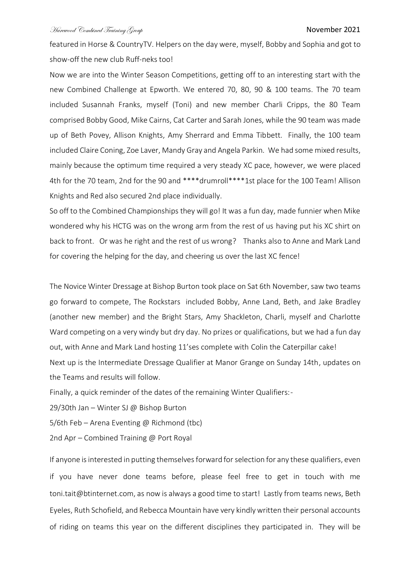featured in Horse & CountryTV. Helpers on the day were, myself, Bobby and Sophia and got to show-off the new club Ruff-neks too!

Now we are into the Winter Season Competitions, getting off to an interesting start with the new Combined Challenge at Epworth. We entered 70, 80, 90 & 100 teams. The 70 team included Susannah Franks, myself (Toni) and new member Charli Cripps, the 80 Team comprised Bobby Good, Mike Cairns, Cat Carter and Sarah Jones, while the 90 team was made up of Beth Povey, Allison Knights, Amy Sherrard and Emma Tibbett. Finally, the 100 team included Claire Coning, Zoe Laver, Mandy Gray and Angela Parkin. We had some mixed results, mainly because the optimum time required a very steady XC pace, however, we were placed 4th for the 70 team, 2nd for the 90 and \*\*\*\*drumroll\*\*\*\*1st place for the 100 Team! Allison Knights and Red also secured 2nd place individually.

So off to the Combined Championships they will go! It was a fun day, made funnier when Mike wondered why his HCTG was on the wrong arm from the rest of us having put his XC shirt on back to front. Or was he right and the rest of us wrong? Thanks also to Anne and Mark Land for covering the helping for the day, and cheering us over the last XC fence!

The Novice Winter Dressage at Bishop Burton took place on Sat 6th November, saw two teams go forward to compete, The Rockstars included Bobby, Anne Land, Beth, and Jake Bradley (another new member) and the Bright Stars, Amy Shackleton, Charli, myself and Charlotte Ward competing on a very windy but dry day. No prizes or qualifications, but we had a fun day out, with Anne and Mark Land hosting 11'ses complete with Colin the Caterpillar cake! Next up is the Intermediate Dressage Qualifier at Manor Grange on Sunday 14th, updates on the Teams and results will follow.

Finally, a quick reminder of the dates of the remaining Winter Qualifiers:-

29/30th Jan – Winter SJ @ Bishop Burton

5/6th Feb – Arena Eventing @ Richmond (tbc)

2nd Apr – Combined Training @ Port Royal

If anyone is interested in putting themselves forward for selection for any these qualifiers, even if you have never done teams before, please feel free to get in touch with me toni.tait@btinternet.com, as now is always a good time to start! Lastly from teams news, Beth Eyeles, Ruth Schofield, and Rebecca Mountain have very kindly written their personal accounts of riding on teams this year on the different disciplines they participated in. They will be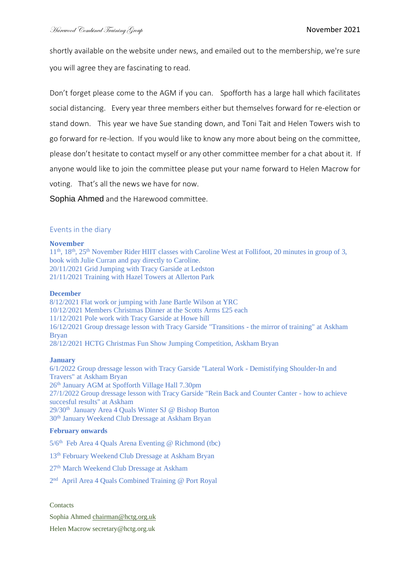shortly available on the website under news, and emailed out to the membership, we're sure you will agree they are fascinating to read.

Don't forget please come to the AGM if you can. Spofforth has a large hall which facilitates social distancing. Every year three members either but themselves forward for re-election or stand down. This year we have Sue standing down, and Toni Tait and Helen Towers wish to go forward for re-lection. If you would like to know any more about being on the committee, please don't hesitate to contact myself or any other committee member for a chat about it. If anyone would like to join the committee please put your name forward to Helen Macrow for voting. That's all the news we have for now.

Sophia Ahmed and the Harewood committee.

## Events in the diary

#### **November**

11<sup>th</sup>, 18<sup>th</sup>, 25<sup>th</sup> November Rider HIIT classes with Caroline West at Follifoot, 20 minutes in group of 3, book with Julie Curran and pay directly to Caroline. 20/11/2021 [Grid Jumping with Tracy Garside](https://horsevents.co.uk/events/?e=37823) at Ledston 21/11/2021 [Training with Hazel Towers](https://horsevents.co.uk/events/?e=37778) at Allerton Park

### **December**

8/12/2021 [Flat work or jumping with Jane Bartle Wilson](https://horsevents.co.uk/events/?e=37508) at YRC 10/12/2021 [Members Christmas Dinner](https://horsevents.co.uk/events/?e=37807) at the Scotts Arms £25 each 11/12/2021 [Pole work with Tracy Garside](https://horsevents.co.uk/events/?e=37920) at Howe hill 16/12/2021 [Group dressage lesson with Tracy Garside "Transitions -](https://horsevents.co.uk/events/?e=37923) the mirror of training" at Askham Bryan 28/12/2021 [HCTG Christmas Fun Show Jumping Competition, Askham Bryan](https://horsevents.co.uk/events/?e=37922)

## **January**

6/1/2022 [Group dressage lesson with Tracy Garside "Lateral Work -](https://horsevents.co.uk/events/?e=37924) Demistifying Shoulder-In and [Travers"](https://horsevents.co.uk/events/?e=37924) at Askham Bryan 26th January AGM at Spofforth Village Hall 7.30pm 27/1/2022 [Group dressage lesson with Tracy Garside "Rein Back and Counter Canter -](https://horsevents.co.uk/events/?e=37925) how to achieve [succesful results"](https://horsevents.co.uk/events/?e=37925) at Askham 29/30<sup>th</sup> January Area 4 Quals Winter SJ @ Bishop Burton 30th January Weekend Club Dressage at Askham Bryan

## **February onwards**

 $5/6<sup>th</sup>$  Feb Area 4 Ouals Arena Eventing @ Richmond (tbc)

13th February Weekend Club Dressage at Askham Bryan

27th March Weekend Club Dressage at Askham

2<sup>nd</sup> April Area 4 Quals Combined Training @ Port Royal

**Contacts** 

Sophia Ahmed [chairman@hctg.org.uk](mailto:chairman@hctg.org.uk)

Helen Macrow secretary@hctg.org.uk